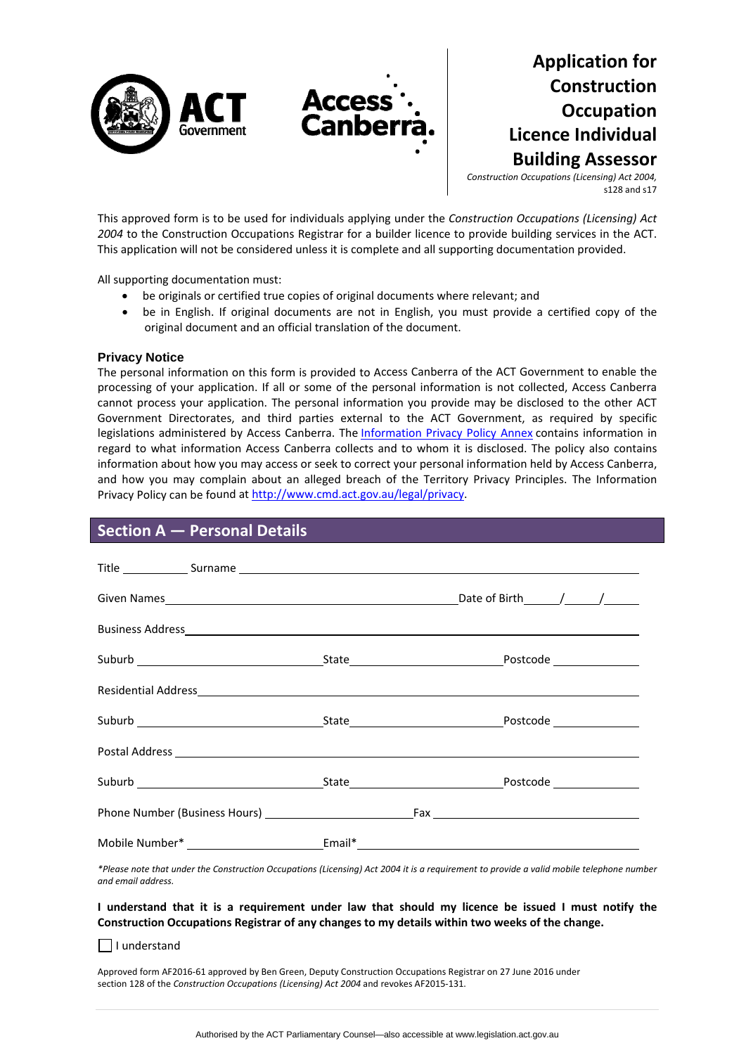

# **Application for Construction Occupation Licence Individual Building Assessor**

*Construction Occupations (Licensing) Act 2004,* s128 and s17

This approved form is to be used for individuals applying under the *Construction Occupations (Licensing) Act 2004* to the Construction Occupations Registrar for a builder licence to provide building services in the ACT. This application will not be considered unless it is complete and all supporting documentation provided.

All supporting documentation must:

- be originals or certified true copies of original documents where relevant; and
- be in English. If original documents are not in English, you must provide a certified copy of the original document and an official translation of the document.

### **Privacy Notice**

The personal information on this form is provided to Access Canberra of the ACT Government to enable the processing of your application. If all or some of the personal information is not collected, Access Canberra cannot process your application. The personal information you provide may be disclosed to the other ACT Government Directorates, and third parties external to the ACT Government, as required by specific legislations administered by Access Canberra. The [Information](http://www.environment.act.gov.au/__data/assets/pdf_file/0006/633741/Information-Privacy-Policy-Annex.pdf) Privacy Policy Annex contains information in regard to what information Access Canberra collects and to whom it is disclosed. The policy also contains information about how you may access or seek to correct your personal information held by Access Canberra, and how you may complain about an alleged breach of the Territory Privacy Principles. The Information Privacy Policy can be found at [http://www.cmd.act.gov.au/legal/privacy.](http://cmd.act.gov.au/legal/privacy_statement)

## **Section A — Personal Details**

\*Please note that under the Construction Occupations (Licensing) Act 2004 it is a requirement to provide a valid mobile telephone number *and email address.* 

### I understand that it is a requirement under law that should my licence be issued I must notify the **Construction Occupations Registrar of any changes to my details within two weeks of the change.**

 $\Box$  I understand

Approved form AF2016‐61 approved by Ben Green, Deputy Construction Occupations Registrar on 27 June 2016 under section 128 of the *Construction Occupations (Licensing) Act 2004* and revokes AF2015‐131.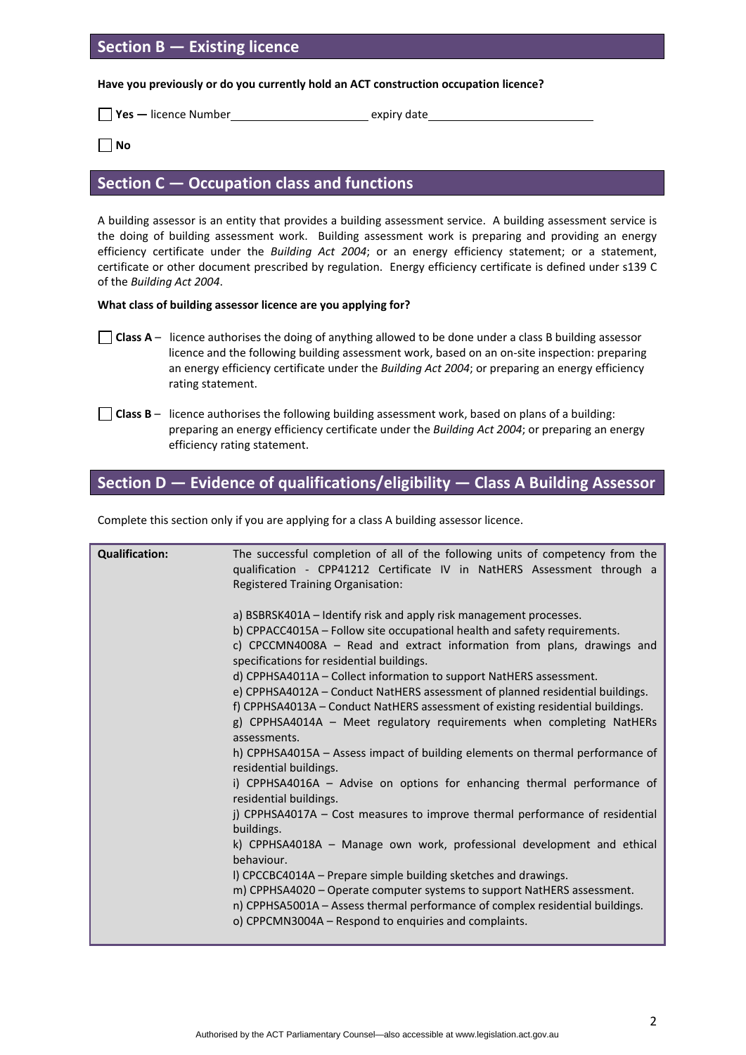# **Section B — Existing licence**

**Have you previously or do you currently hold an ACT construction occupation licence?**

**Yes** — licence Number<br> **Expiry date** 

**No**

### **Section C — Occupation class and functions**

A building assessor is an entity that provides a building assessment service. A building assessment service is the doing of building assessment work. Building assessment work is preparing and providing an energy efficiency certificate under the *Building Act 2004*; or an energy efficiency statement; or a statement, certificate or other document prescribed by regulation. Energy efficiency certificate is defined under s139 C of the *Building Act 2004*.

### **What class of building assessor licence are you applying for?**

- **Class**  $A$  licence authorises the doing of anything allowed to be done under a class B building assessor licence and the following building assessment work, based on an on‐site inspection: preparing an energy efficiency certificate under the *Building Act 2004*; or preparing an energy efficiency rating statement.
- **Class B** licence authorises the following building assessment work, based on plans of a building: preparing an energy efficiency certificate under the *Building Act 2004*; or preparing an energy efficiency rating statement.

# **Section D — Evidence of qualifications/eligibility — Class A Building Assessor**

Complete this section only if you are applying for a class A building assessor licence.

| <b>Qualification:</b> | The successful completion of all of the following units of competency from the<br>qualification - CPP41212 Certificate IV in NatHERS Assessment through a                                                                                                                            |
|-----------------------|--------------------------------------------------------------------------------------------------------------------------------------------------------------------------------------------------------------------------------------------------------------------------------------|
|                       | <b>Registered Training Organisation:</b>                                                                                                                                                                                                                                             |
|                       | a) BSBRSK401A – Identify risk and apply risk management processes.<br>b) CPPACC4015A – Follow site occupational health and safety requirements.<br>c) CPCCMN4008A - Read and extract information from plans, drawings and                                                            |
|                       | specifications for residential buildings.<br>d) CPPHSA4011A - Collect information to support NatHERS assessment.<br>e) CPPHSA4012A - Conduct NatHERS assessment of planned residential buildings.<br>f) CPPHSA4013A – Conduct NatHERS assessment of existing residential buildings.  |
|                       | g) CPPHSA4014A - Meet regulatory requirements when completing NatHERs<br>assessments.                                                                                                                                                                                                |
|                       | h) CPPHSA4015A - Assess impact of building elements on thermal performance of<br>residential buildings.                                                                                                                                                                              |
|                       | i) CPPHSA4016A - Advise on options for enhancing thermal performance of<br>residential buildings.                                                                                                                                                                                    |
|                       | j) CPPHSA4017A – Cost measures to improve thermal performance of residential<br>buildings.                                                                                                                                                                                           |
|                       | k) CPPHSA4018A - Manage own work, professional development and ethical<br>behaviour.                                                                                                                                                                                                 |
|                       | I) CPCCBC4014A - Prepare simple building sketches and drawings.<br>m) CPPHSA4020 - Operate computer systems to support NatHERS assessment.<br>n) CPPHSA5001A - Assess thermal performance of complex residential buildings.<br>o) CPPCMN3004A - Respond to enquiries and complaints. |
|                       |                                                                                                                                                                                                                                                                                      |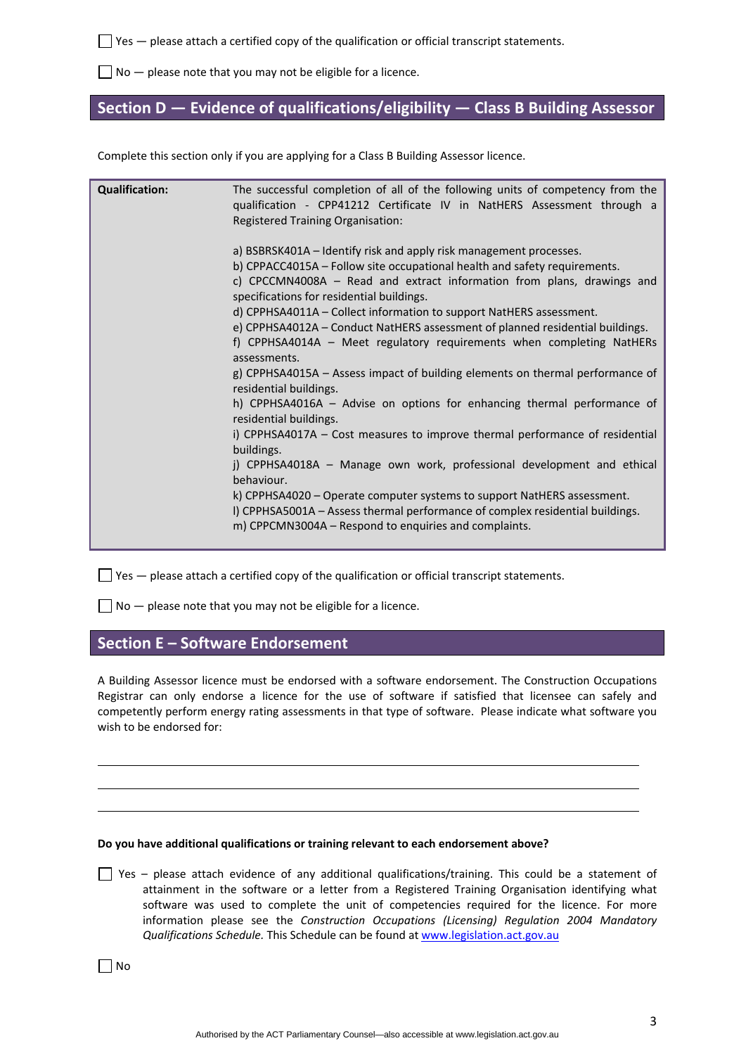$\Box$  Yes — please attach a certified copy of the qualification or official transcript statements.

 $\Box$  No  $-$  please note that you may not be eligible for a licence.

# **Section D — Evidence of qualifications/eligibility — Class B Building Assessor**

Complete this section only if you are applying for a Class B Building Assessor licence.

| <b>Qualification:</b> | The successful completion of all of the following units of competency from the<br>qualification - CPP41212 Certificate IV in NatHERS Assessment through a                                                                                                                                                                                                                                                                                                                                                                                                                                                                                                                                                                                                                                                                                                                                                                     |
|-----------------------|-------------------------------------------------------------------------------------------------------------------------------------------------------------------------------------------------------------------------------------------------------------------------------------------------------------------------------------------------------------------------------------------------------------------------------------------------------------------------------------------------------------------------------------------------------------------------------------------------------------------------------------------------------------------------------------------------------------------------------------------------------------------------------------------------------------------------------------------------------------------------------------------------------------------------------|
|                       | <b>Registered Training Organisation:</b>                                                                                                                                                                                                                                                                                                                                                                                                                                                                                                                                                                                                                                                                                                                                                                                                                                                                                      |
|                       | a) BSBRSK401A – Identify risk and apply risk management processes.<br>b) CPPACC4015A - Follow site occupational health and safety requirements.<br>c) CPCCMN4008A - Read and extract information from plans, drawings and<br>specifications for residential buildings.<br>d) CPPHSA4011A - Collect information to support NatHERS assessment.<br>e) CPPHSA4012A - Conduct NatHERS assessment of planned residential buildings.<br>f) CPPHSA4014A - Meet regulatory requirements when completing NatHERs<br>assessments.<br>g) CPPHSA4015A - Assess impact of building elements on thermal performance of<br>residential buildings.<br>h) CPPHSA4016A - Advise on options for enhancing thermal performance of<br>residential buildings.<br>i) CPPHSA4017A - Cost measures to improve thermal performance of residential<br>buildings.<br>j) CPPHSA4018A - Manage own work, professional development and ethical<br>behaviour. |
|                       | k) CPPHSA4020 - Operate computer systems to support NatHERS assessment.<br>I) CPPHSA5001A - Assess thermal performance of complex residential buildings.<br>m) CPPCMN3004A - Respond to enquiries and complaints.                                                                                                                                                                                                                                                                                                                                                                                                                                                                                                                                                                                                                                                                                                             |

 $\Box$  Yes — please attach a certified copy of the qualification or official transcript statements.

 $\Box$  No  $-$  please note that you may not be eligible for a licence.

# **Section E – Software Endorsement**

A Building Assessor licence must be endorsed with a software endorsement. The Construction Occupations Registrar can only endorse a licence for the use of software if satisfied that licensee can safely and competently perform energy rating assessments in that type of software. Please indicate what software you wish to be endorsed for:

### **Do you have additional qualifications or training relevant to each endorsement above?**

<u> 1989 - Johann Barbara, martxa alemaniar argametra (h. 1989).</u> <u> 1989 - Johann Barbara, martxa alemaniar argametra (h. 1989).</u>

 $\Box$  Yes – please attach evidence of any additional qualifications/training. This could be a statement of attainment in the software or a letter from a Registered Training Organisation identifying what software was used to complete the unit of competencies required for the licence. For more information please see the *Construction Occupations (Licensing) Regulation 2004 Mandatory Qualifications Schedule.* This Schedule can be found at [www.legislation.act.gov.au](http://www.legislation.act.gov.au/)

 $\Box$  No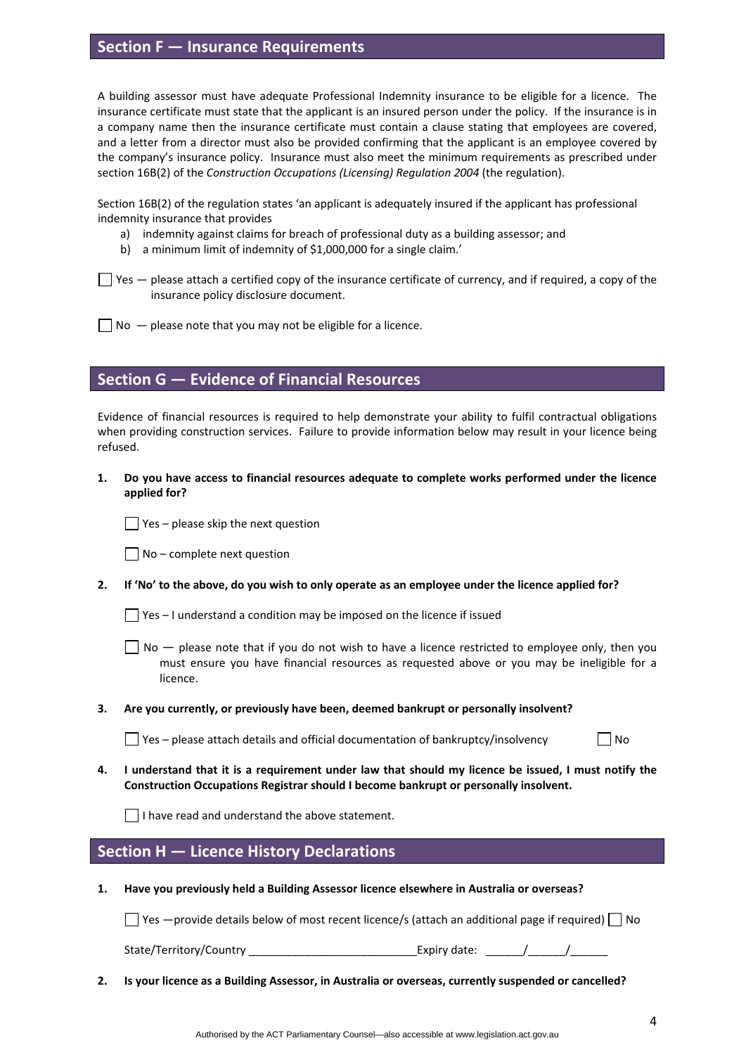# **Section F — Insurance Requirements**

A building assessor must have adequate Professional Indemnity insurance to be eligible for a licence. The insurance certificate must state that the applicant is an insured person under the policy. If the insurance is in a company name then the insurance certificate must contain a clause stating that employees are covered, and a letter from a director must also be provided confirming that the applicant is an employee covered by the company's insurance policy. Insurance must also meet the minimum requirements as prescribed under section 16B(2) of the *Construction Occupations (Licensing) Regulation 2004* (the regulation).

Section 16B(2) of the regulation states 'an applicant is adequately insured if the applicant has professional indemnity insurance that provides

- a) indemnity against claims for breach of professional duty as a building assessor; and
- b) a minimum limit of indemnity of \$1,000,000 for a single claim.'

 $\Box$  Yes  $-$  please attach a certified copy of the insurance certificate of currency, and if required, a copy of the insurance policy disclosure document.

 $\Box$  No  $-$  please note that you may not be eligible for a licence.

# **Section G — Evidence of Financial Resources**

Evidence of financial resources is required to help demonstrate your ability to fulfil contractual obligations when providing construction services. Failure to provide information below may result in your licence being refused.

**1. Do you have access to financial resources adequate to complete works performed under the licence applied for?** 

 $\Box$  Yes – please skip the next question

 $\Box$  No – complete next question

2. If 'No' to the above, do you wish to only operate as an employee under the licence applied for?

 $\Box$  Yes – I understand a condition may be imposed on the licence if issued

 $\Box$  No  $\Box$  please note that if you do not wish to have a licence restricted to employee only, then you must ensure you have financial resources as requested above or you may be ineligible for a licence.

#### **3. Are you currently, or previously have been, deemed bankrupt or personally insolvent?**

 $\Box$  Yes – please attach details and official documentation of bankruptcy/insolvency  $\Box$  No

4. I understand that it is a requirement under law that should my licence be issued, I must notify the **Construction Occupations Registrar should I become bankrupt or personally insolvent.** 

I have read and understand the above statement.

# **Section H — Licence History Declarations**

**1. Have you previously held a Building Assessor licence elsewhere in Australia or overseas?** 

 $\Box$  Yes —provide details below of most recent licence/s (attach an additional page if required)  $\Box$  No

State/Territory/Country \_\_\_\_\_\_\_\_\_\_\_\_\_\_\_\_\_\_\_\_\_\_\_\_\_\_\_\_\_\_\_\_\_\_\_Expiry date: \_\_\_\_\_\_\_/\_\_\_\_\_\_\_\_/

**2. Is your licence as a Building Assessor, in Australia or overseas, currently suspended or cancelled?**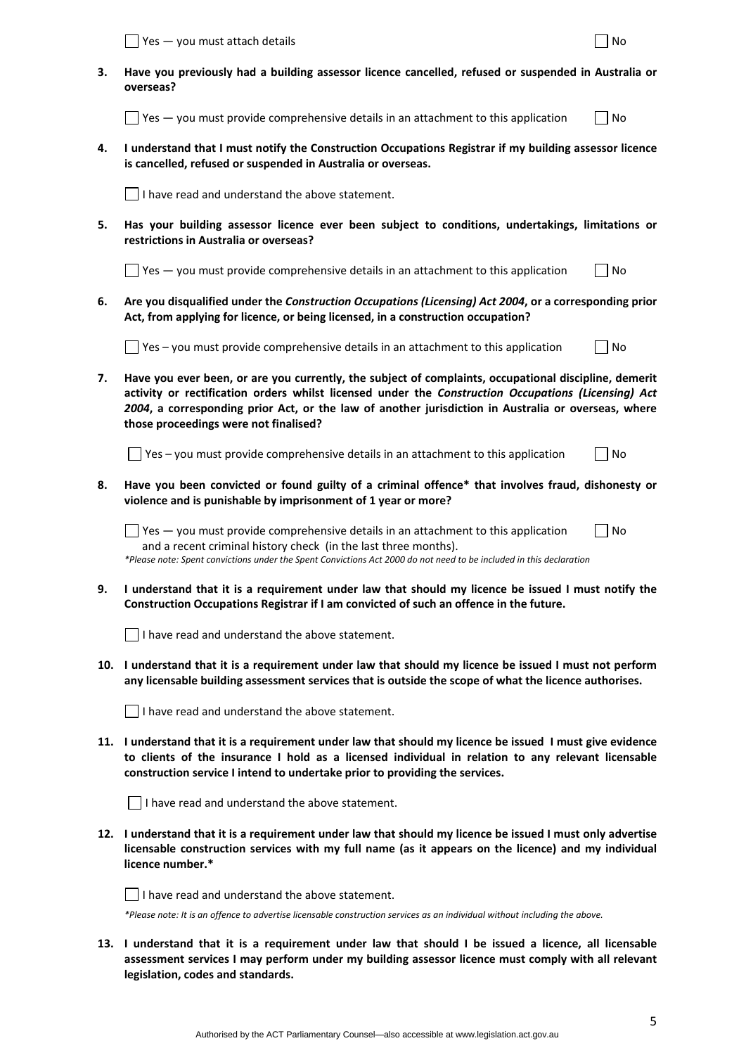|     | Yes - you must attach details                                                                                                                                                                                                                                                                                                                                | No |  |  |  |
|-----|--------------------------------------------------------------------------------------------------------------------------------------------------------------------------------------------------------------------------------------------------------------------------------------------------------------------------------------------------------------|----|--|--|--|
| з.  | Have you previously had a building assessor licence cancelled, refused or suspended in Australia or<br>overseas?                                                                                                                                                                                                                                             |    |  |  |  |
|     | $\sqrt{1 + 1}$ Yes $-$ you must provide comprehensive details in an attachment to this application                                                                                                                                                                                                                                                           | No |  |  |  |
| 4.  | I understand that I must notify the Construction Occupations Registrar if my building assessor licence<br>is cancelled, refused or suspended in Australia or overseas.                                                                                                                                                                                       |    |  |  |  |
|     | I have read and understand the above statement.                                                                                                                                                                                                                                                                                                              |    |  |  |  |
| 5.  | Has your building assessor licence ever been subject to conditions, undertakings, limitations or<br>restrictions in Australia or overseas?                                                                                                                                                                                                                   |    |  |  |  |
|     | $\sqrt{ }$ Yes $-$ you must provide comprehensive details in an attachment to this application                                                                                                                                                                                                                                                               | No |  |  |  |
| 6.  | Are you disqualified under the Construction Occupations (Licensing) Act 2004, or a corresponding prior<br>Act, from applying for licence, or being licensed, in a construction occupation?                                                                                                                                                                   |    |  |  |  |
|     | Yes - you must provide comprehensive details in an attachment to this application                                                                                                                                                                                                                                                                            | No |  |  |  |
| 7.  | Have you ever been, or are you currently, the subject of complaints, occupational discipline, demerit<br>activity or rectification orders whilst licensed under the Construction Occupations (Licensing) Act<br>2004, a corresponding prior Act, or the law of another jurisdiction in Australia or overseas, where<br>those proceedings were not finalised? |    |  |  |  |
|     | J Yes – you must provide comprehensive details in an attachment to this application                                                                                                                                                                                                                                                                          | No |  |  |  |
| 8.  | Have you been convicted or found guilty of a criminal offence* that involves fraud, dishonesty or<br>violence and is punishable by imprisonment of 1 year or more?                                                                                                                                                                                           |    |  |  |  |
|     | $\Box$ Yes $-$ you must provide comprehensive details in an attachment to this application<br>and a recent criminal history check (in the last three months).<br>*Please note: Spent convictions under the Spent Convictions Act 2000 do not need to be included in this declaration                                                                         | No |  |  |  |
| 9.  | I understand that it is a requirement under law that should my licence be issued I must notify the<br>Construction Occupations Registrar if I am convicted of such an offence in the future.                                                                                                                                                                 |    |  |  |  |
|     | $\Box$ I have read and understand the above statement.                                                                                                                                                                                                                                                                                                       |    |  |  |  |
|     | 10. I understand that it is a requirement under law that should my licence be issued I must not perform<br>any licensable building assessment services that is outside the scope of what the licence authorises.                                                                                                                                             |    |  |  |  |
|     | I have read and understand the above statement.                                                                                                                                                                                                                                                                                                              |    |  |  |  |
|     | 11. I understand that it is a requirement under law that should my licence be issued I must give evidence<br>to clients of the insurance I hold as a licensed individual in relation to any relevant licensable<br>construction service I intend to undertake prior to providing the services.                                                               |    |  |  |  |
|     | I have read and understand the above statement.                                                                                                                                                                                                                                                                                                              |    |  |  |  |
|     | 12. I understand that it is a requirement under law that should my licence be issued I must only advertise<br>licensable construction services with my full name (as it appears on the licence) and my individual<br>licence number.*                                                                                                                        |    |  |  |  |
|     | I have read and understand the above statement.                                                                                                                                                                                                                                                                                                              |    |  |  |  |
|     | *Please note: It is an offence to advertise licensable construction services as an individual without including the above.                                                                                                                                                                                                                                   |    |  |  |  |
| 13. | I understand that it is a requirement under law that should I be issued a licence, all licensable<br>assessment services I may perform under my building assessor licence must comply with all relevant<br>legislation, codes and standards.                                                                                                                 |    |  |  |  |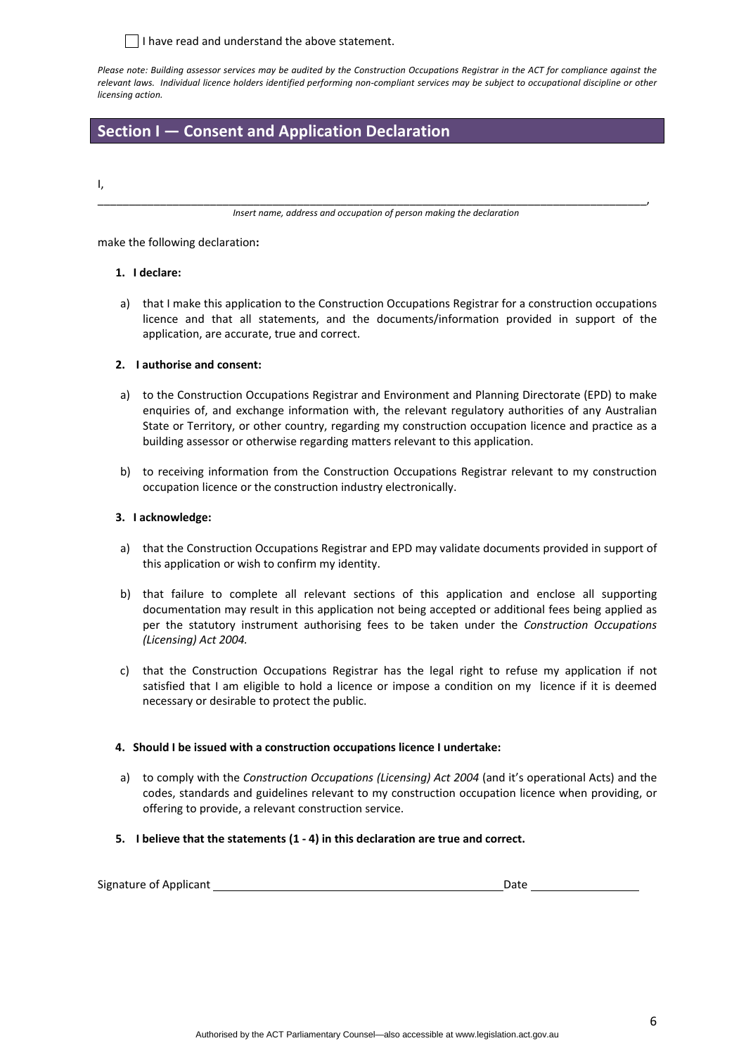$\lceil$  I have read and understand the above statement.

Please note: Building assessor services may be audited by the Construction Occupations Registrar in the ACT for compliance against the relevant laws. Individual licence holders identified performing non-compliant services may be subject to occupational discipline or other *licensing action.*

# **Section I — Consent and Application Declaration**

I,

\_\_\_\_\_\_\_\_\_\_\_\_\_\_\_\_\_\_\_\_\_\_\_\_\_\_\_\_\_\_\_\_\_\_\_\_\_\_\_\_\_\_\_\_\_\_\_\_\_\_\_\_\_\_\_\_\_\_\_\_\_\_\_\_\_\_\_\_\_\_\_\_\_\_\_\_\_\_\_\_\_\_\_\_\_\_\_\_, *Insert name, address and occupation of person making the declaration*

make the following declaration**:**

#### **1. I declare:**

a) that I make this application to the Construction Occupations Registrar for a construction occupations licence and that all statements, and the documents/information provided in support of the application, are accurate, true and correct.

### **2. I authorise and consent:**

- a) to the Construction Occupations Registrar and Environment and Planning Directorate (EPD) to make enquiries of, and exchange information with, the relevant regulatory authorities of any Australian State or Territory, or other country, regarding my construction occupation licence and practice as a building assessor or otherwise regarding matters relevant to this application.
- b) to receiving information from the Construction Occupations Registrar relevant to my construction occupation licence or the construction industry electronically.

### **3. I acknowledge:**

- a) that the Construction Occupations Registrar and EPD may validate documents provided in support of this application or wish to confirm my identity.
- b) that failure to complete all relevant sections of this application and enclose all supporting documentation may result in this application not being accepted or additional fees being applied as per the statutory instrument authorising fees to be taken under the *Construction Occupations (Licensing) Act 2004.*
- c) that the Construction Occupations Registrar has the legal right to refuse my application if not satisfied that I am eligible to hold a licence or impose a condition on my licence if it is deemed necessary or desirable to protect the public.

#### **4. Should I be issued with a construction occupations licence I undertake:**

- a) to comply with the *Construction Occupations (Licensing) Act 2004* (and it's operational Acts) and the codes, standards and guidelines relevant to my construction occupation licence when providing, or offering to provide, a relevant construction service.
- **5. I believe that the statements (1 ‐ 4) in this declaration are true and correct.**

| Signature of Applicant | Date |  |
|------------------------|------|--|
|------------------------|------|--|